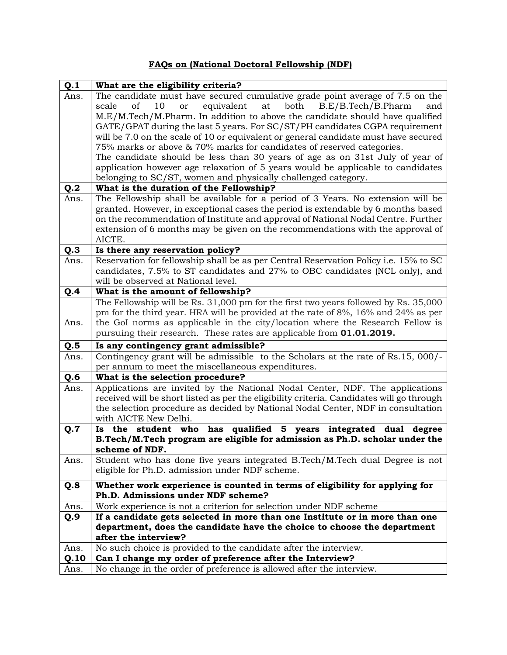## **FAQs on (National Doctoral Fellowship (NDF)**

| Q.1  | What are the eligibility criteria?                                                        |
|------|-------------------------------------------------------------------------------------------|
| Ans. | The candidate must have secured cumulative grade point average of 7.5 on the              |
|      | of<br>10<br>equivalent<br>at both<br>B.E/B.Tech/B.Pharm<br><b>or</b><br>and<br>scale      |
|      | M.E/M.Tech/M.Pharm. In addition to above the candidate should have qualified              |
|      | GATE/GPAT during the last 5 years. For SC/ST/PH candidates CGPA requirement               |
|      | will be 7.0 on the scale of 10 or equivalent or general candidate must have secured       |
|      | 75% marks or above & 70% marks for candidates of reserved categories.                     |
|      | The candidate should be less than 30 years of age as on 31st July of year of              |
|      | application however age relaxation of 5 years would be applicable to candidates           |
|      | belonging to SC/ST, women and physically challenged category.                             |
| Q.2  | What is the duration of the Fellowship?                                                   |
| Ans. | The Fellowship shall be available for a period of 3 Years. No extension will be           |
|      | granted. However, in exceptional cases the period is extendable by 6 months based         |
|      | on the recommendation of Institute and approval of National Nodal Centre. Further         |
|      | extension of 6 months may be given on the recommendations with the approval of<br>AICTE.  |
| Q.3  | Is there any reservation policy?                                                          |
| Ans. | Reservation for fellowship shall be as per Central Reservation Policy i.e. 15% to SC      |
|      | candidates, 7.5% to ST candidates and 27% to OBC candidates (NCL only), and               |
|      | will be observed at National level.                                                       |
| Q.4  | What is the amount of fellowship?                                                         |
|      | The Fellowship will be Rs. 31,000 pm for the first two years followed by Rs. 35,000       |
|      | pm for the third year. HRA will be provided at the rate of 8%, 16% and 24% as per         |
| Ans. | the GoI norms as applicable in the city/location where the Research Fellow is             |
|      | pursuing their research. These rates are applicable from 01.01.2019.                      |
| Q.5  | Is any contingency grant admissible?                                                      |
| Ans. | Contingency grant will be admissible to the Scholars at the rate of Rs.15, 000/-          |
|      | per annum to meet the miscellaneous expenditures.                                         |
| Q.6  | What is the selection procedure?                                                          |
| Ans. | Applications are invited by the National Nodal Center, NDF. The applications              |
|      | received will be short listed as per the eligibility criteria. Candidates will go through |
|      | the selection procedure as decided by National Nodal Center, NDF in consultation          |
|      | with AICTE New Delhi.                                                                     |
| Q.7  | has qualified 5 years integrated dual degree<br>Is the student who                        |
|      | B.Tech/M.Tech program are eligible for admission as Ph.D. scholar under the               |
|      | scheme of NDF.                                                                            |
| Ans. | Student who has done five years integrated B.Tech/M.Tech dual Degree is not               |
|      | eligible for Ph.D. admission under NDF scheme.                                            |
| Q.8  | Whether work experience is counted in terms of eligibility for applying for               |
|      | Ph.D. Admissions under NDF scheme?                                                        |
| Ans. | Work experience is not a criterion for selection under NDF scheme                         |
| Q.9  | If a candidate gets selected in more than one Institute or in more than one               |
|      | department, does the candidate have the choice to choose the department                   |
|      | after the interview?                                                                      |
| Ans. | No such choice is provided to the candidate after the interview.                          |
| Q.10 | Can I change my order of preference after the Interview?                                  |
| Ans. | No change in the order of preference is allowed after the interview.                      |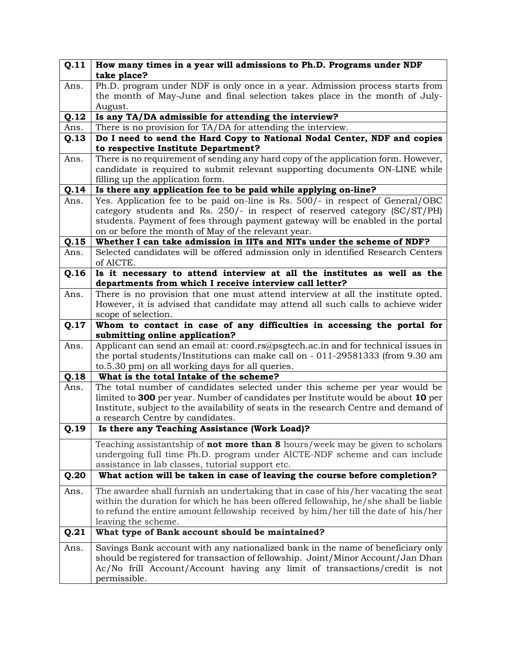| Q.11 | How many times in a year will admissions to Ph.D. Programs under NDF                                                                                                |
|------|---------------------------------------------------------------------------------------------------------------------------------------------------------------------|
|      | take place?<br>Ph.D. program under NDF is only once in a year. Admission process starts from                                                                        |
| Ans. | the month of May-June and final selection takes place in the month of July-                                                                                         |
|      | August.                                                                                                                                                             |
| Q.12 | Is any TA/DA admissible for attending the interview?                                                                                                                |
| Ans. | There is no provision for TA/DA for attending the interview.                                                                                                        |
| Q.13 | Do I need to send the Hard Copy to National Nodal Center, NDF and copies                                                                                            |
|      | to respective Institute Department?                                                                                                                                 |
| Ans. | There is no requirement of sending any hard copy of the application form. However,                                                                                  |
|      | candidate is required to submit relevant supporting documents ON-LINE while                                                                                         |
|      | filling up the application form.                                                                                                                                    |
| Q.14 | Is there any application fee to be paid while applying on-line?                                                                                                     |
| Ans. | Yes. Application fee to be paid on-line is Rs. 500/- in respect of General/OBC                                                                                      |
|      | category students and Rs. 250/- in respect of reserved category $(SC(ST/PH)$                                                                                        |
|      | students. Payment of fees through payment gateway will be enabled in the portal<br>on or before the month of May of the relevant year.                              |
| Q.15 | Whether I can take admission in IITs and NITs under the scheme of NDF?                                                                                              |
| Ans. | Selected candidates will be offered admission only in identified Research Centers                                                                                   |
|      | of AICTE.                                                                                                                                                           |
| Q.16 | Is it necessary to attend interview at all the institutes as well as the                                                                                            |
|      | departments from which I receive interview call letter?                                                                                                             |
| Ans. | There is no provision that one must attend interview at all the institute opted.                                                                                    |
|      | However, it is advised that candidate may attend all such calls to achieve wider                                                                                    |
|      | scope of selection.                                                                                                                                                 |
| Q.17 | Whom to contact in case of any difficulties in accessing the portal for                                                                                             |
|      | submitting online application?                                                                                                                                      |
| Ans. | Applicant can send an email at: coord.rs@psgtech.ac.in and for technical issues in                                                                                  |
|      | the portal students/Institutions can make call on - 011-29581333 (from 9.30 am                                                                                      |
|      | to.5.30 pm) on all working days for all queries.                                                                                                                    |
| Q.18 | What is the total Intake of the scheme?                                                                                                                             |
| Ans. | The total number of candidates selected under this scheme per year would be                                                                                         |
|      | limited to 300 per year. Number of candidates per Institute would be about 10 per                                                                                   |
|      | Institute, subject to the availability of seats in the research Centre and demand of                                                                                |
|      | a research Centre by candidates.                                                                                                                                    |
| Q.19 | Is there any Teaching Assistance (Work Load)?                                                                                                                       |
|      | Teaching assistantship of <b>not more than 8</b> hours/week may be given to scholars                                                                                |
|      | undergoing full time Ph.D. program under AICTE-NDF scheme and can include                                                                                           |
|      | assistance in lab classes, tutorial support etc.                                                                                                                    |
| Q.20 | What action will be taken in case of leaving the course before completion?                                                                                          |
| Ans. | The awardee shall furnish an undertaking that in case of his/her vacating the seat                                                                                  |
|      | within the duration for which he has been offered fellowship, he/she shall be liable                                                                                |
|      | to refund the entire amount fellowship received by him/her till the date of his/her                                                                                 |
| Q.21 | leaving the scheme.<br>What type of Bank account should be maintained?                                                                                              |
| Ans. |                                                                                                                                                                     |
|      | Savings Bank account with any nationalized bank in the name of beneficiary only<br>should be registered for transaction of fellowship. Joint/Minor Account/Jan Dhan |
|      | Ac/No frill Account/Account having any limit of transactions/credit is not                                                                                          |